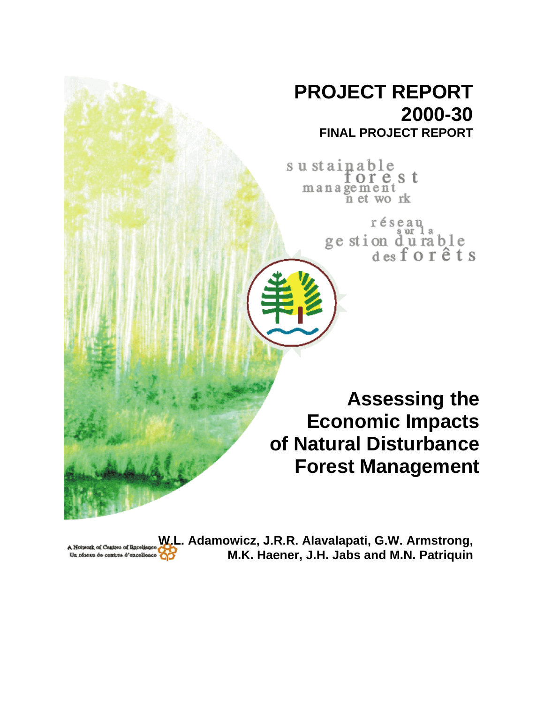# **PROJECT REPORT 2000-30 FINAL PROJECT REPORT**

sustainable orest management<br>net work

réseau<br>ge stion d'u rable<br>des forêts

**Assessing the Economic Impacts of Natural Disturbance Forest Management**

**W.L. Adamowicz, J.R.R. Alavalapati, G.W. Armstrong,** A Notwork of Centres of Excellen-**M.K. Haener, J.H. Jabs and M.N. Patriquin** Un réseau de contres d'excellence OD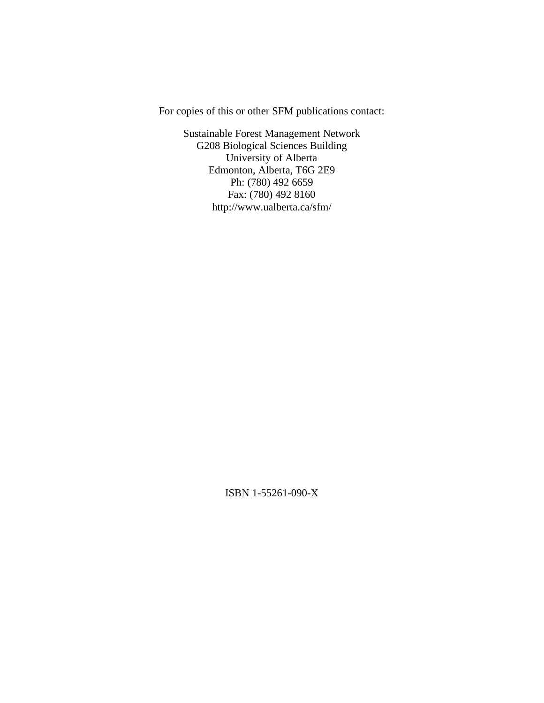For copies of this or other SFM publications contact:

Sustainable Forest Management Network G208 Biological Sciences Building University of Alberta Edmonton, Alberta, T6G 2E9 Ph: (780) 492 6659 Fax: (780) 492 8160 http://www.ualberta.ca/sfm/

ISBN 1-55261-090-X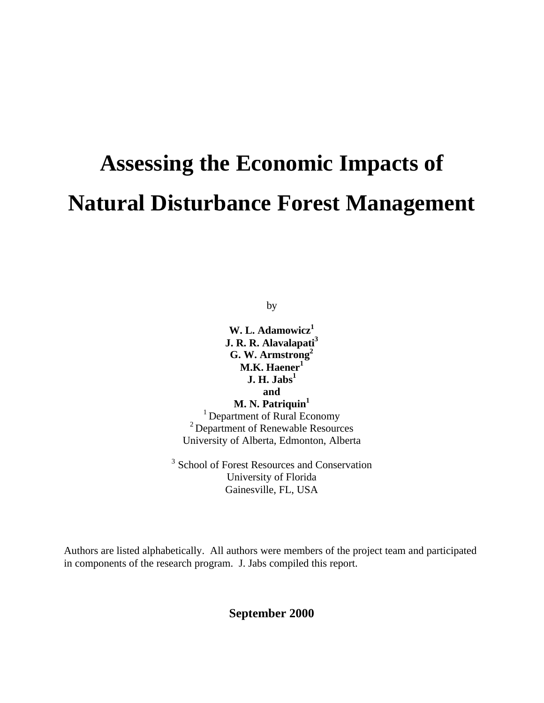# **Assessing the Economic Impacts of Natural Disturbance Forest Management**

by

**W. L. Adamowicz<sup>1</sup> J. R. R. Alavalapati<sup>3</sup> G. W. Armstrong<sup>2</sup> M.K. Haener<sup>1</sup> J. H. Jabs<sup>1</sup> and M. N. Patriquin<sup>1</sup>** <sup>1</sup> Department of Rural Economy <sup>2</sup> Department of Renewable Resources University of Alberta, Edmonton, Alberta

<sup>3</sup> School of Forest Resources and Conservation University of Florida Gainesville, FL, USA

Authors are listed alphabetically. All authors were members of the project team and participated in components of the research program. J. Jabs compiled this report.

**September 2000**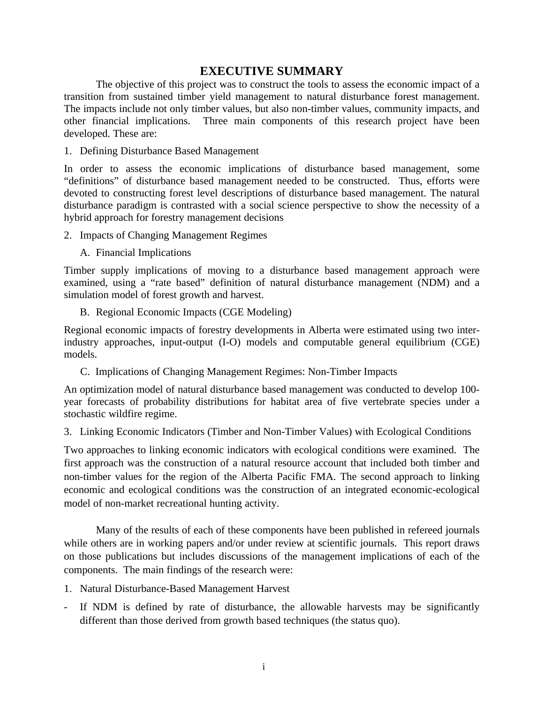# **EXECUTIVE SUMMARY**

The objective of this project was to construct the tools to assess the economic impact of a transition from sustained timber yield management to natural disturbance forest management. The impacts include not only timber values, but also non-timber values, community impacts, and other financial implications. Three main components of this research project have been developed. These are:

1. Defining Disturbance Based Management

In order to assess the economic implications of disturbance based management, some "definitions" of disturbance based management needed to be constructed. Thus, efforts were devoted to constructing forest level descriptions of disturbance based management. The natural disturbance paradigm is contrasted with a social science perspective to show the necessity of a hybrid approach for forestry management decisions

- 2. Impacts of Changing Management Regimes
	- A. Financial Implications

Timber supply implications of moving to a disturbance based management approach were examined, using a "rate based" definition of natural disturbance management (NDM) and a simulation model of forest growth and harvest.

B. Regional Economic Impacts (CGE Modeling)

Regional economic impacts of forestry developments in Alberta were estimated using two interindustry approaches, input-output (I-O) models and computable general equilibrium (CGE) models.

C. Implications of Changing Management Regimes: Non-Timber Impacts

An optimization model of natural disturbance based management was conducted to develop 100 year forecasts of probability distributions for habitat area of five vertebrate species under a stochastic wildfire regime.

3. Linking Economic Indicators (Timber and Non-Timber Values) with Ecological Conditions

Two approaches to linking economic indicators with ecological conditions were examined. The first approach was the construction of a natural resource account that included both timber and non-timber values for the region of the Alberta Pacific FMA. The second approach to linking economic and ecological conditions was the construction of an integrated economic-ecological model of non-market recreational hunting activity.

Many of the results of each of these components have been published in refereed journals while others are in working papers and/or under review at scientific journals. This report draws on those publications but includes discussions of the management implications of each of the components. The main findings of the research were:

- 1. Natural Disturbance-Based Management Harvest
- If NDM is defined by rate of disturbance, the allowable harvests may be significantly different than those derived from growth based techniques (the status quo).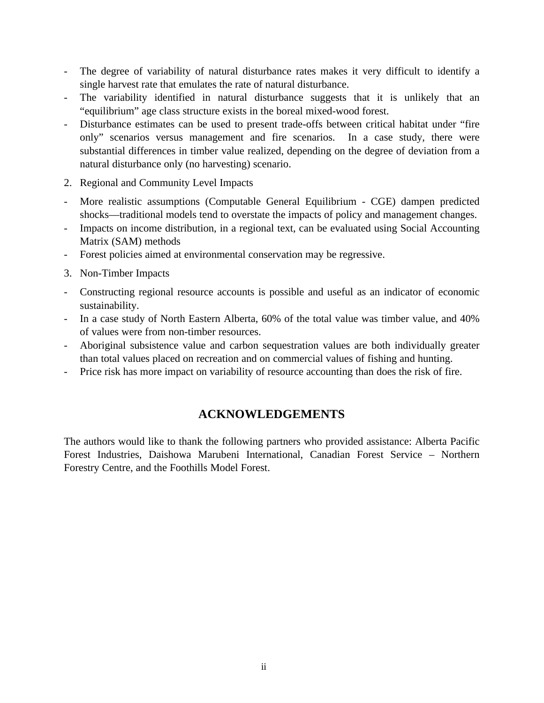- The degree of variability of natural disturbance rates makes it very difficult to identify a single harvest rate that emulates the rate of natural disturbance.
- The variability identified in natural disturbance suggests that it is unlikely that an "equilibrium" age class structure exists in the boreal mixed-wood forest.
- Disturbance estimates can be used to present trade-offs between critical habitat under "fire only" scenarios versus management and fire scenarios. In a case study, there were substantial differences in timber value realized, depending on the degree of deviation from a natural disturbance only (no harvesting) scenario.
- 2. Regional and Community Level Impacts
- More realistic assumptions (Computable General Equilibrium CGE) dampen predicted shocks—traditional models tend to overstate the impacts of policy and management changes.
- Impacts on income distribution, in a regional text, can be evaluated using Social Accounting Matrix (SAM) methods
- Forest policies aimed at environmental conservation may be regressive.
- 3. Non-Timber Impacts
- Constructing regional resource accounts is possible and useful as an indicator of economic sustainability.
- In a case study of North Eastern Alberta, 60% of the total value was timber value, and 40% of values were from non-timber resources.
- Aboriginal subsistence value and carbon sequestration values are both individually greater than total values placed on recreation and on commercial values of fishing and hunting.
- Price risk has more impact on variability of resource accounting than does the risk of fire.

# **ACKNOWLEDGEMENTS**

The authors would like to thank the following partners who provided assistance: Alberta Pacific Forest Industries, Daishowa Marubeni International, Canadian Forest Service – Northern Forestry Centre, and the Foothills Model Forest.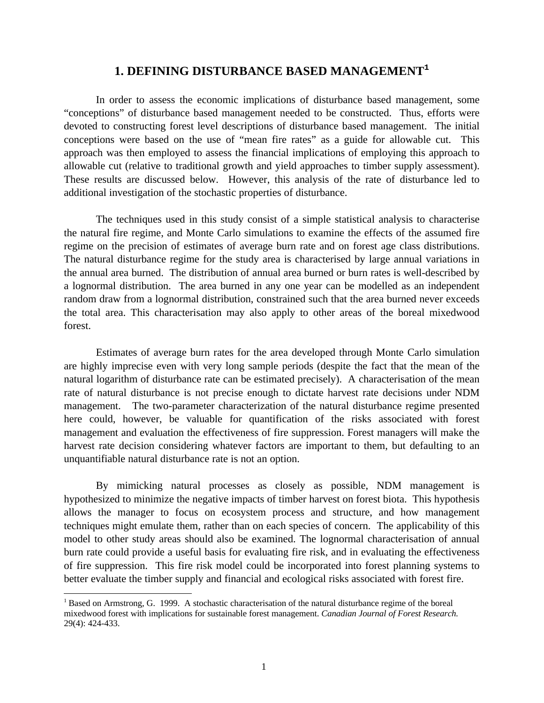# **1. DEFINING DISTURBANCE BASED MANAGEMENT<sup>1</sup>**

In order to assess the economic implications of disturbance based management, some "conceptions" of disturbance based management needed to be constructed. Thus, efforts were devoted to constructing forest level descriptions of disturbance based management. The initial conceptions were based on the use of "mean fire rates" as a guide for allowable cut. This approach was then employed to assess the financial implications of employing this approach to allowable cut (relative to traditional growth and yield approaches to timber supply assessment). These results are discussed below. However, this analysis of the rate of disturbance led to additional investigation of the stochastic properties of disturbance.

The techniques used in this study consist of a simple statistical analysis to characterise the natural fire regime, and Monte Carlo simulations to examine the effects of the assumed fire regime on the precision of estimates of average burn rate and on forest age class distributions. The natural disturbance regime for the study area is characterised by large annual variations in the annual area burned. The distribution of annual area burned or burn rates is well-described by a lognormal distribution. The area burned in any one year can be modelled as an independent random draw from a lognormal distribution, constrained such that the area burned never exceeds the total area. This characterisation may also apply to other areas of the boreal mixedwood forest.

Estimates of average burn rates for the area developed through Monte Carlo simulation are highly imprecise even with very long sample periods (despite the fact that the mean of the natural logarithm of disturbance rate can be estimated precisely). A characterisation of the mean rate of natural disturbance is not precise enough to dictate harvest rate decisions under NDM management. The two-parameter characterization of the natural disturbance regime presented here could, however, be valuable for quantification of the risks associated with forest management and evaluation the effectiveness of fire suppression. Forest managers will make the harvest rate decision considering whatever factors are important to them, but defaulting to an unquantifiable natural disturbance rate is not an option.

By mimicking natural processes as closely as possible, NDM management is hypothesized to minimize the negative impacts of timber harvest on forest biota. This hypothesis allows the manager to focus on ecosystem process and structure, and how management techniques might emulate them, rather than on each species of concern. The applicability of this model to other study areas should also be examined. The lognormal characterisation of annual burn rate could provide a useful basis for evaluating fire risk, and in evaluating the effectiveness of fire suppression. This fire risk model could be incorporated into forest planning systems to better evaluate the timber supply and financial and ecological risks associated with forest fire.

 $\overline{a}$ 

<sup>&</sup>lt;sup>1</sup> Based on Armstrong, G. 1999. A stochastic characterisation of the natural disturbance regime of the boreal mixedwood forest with implications for sustainable forest management. *Canadian Journal of Forest Research.* 29(4): 424-433.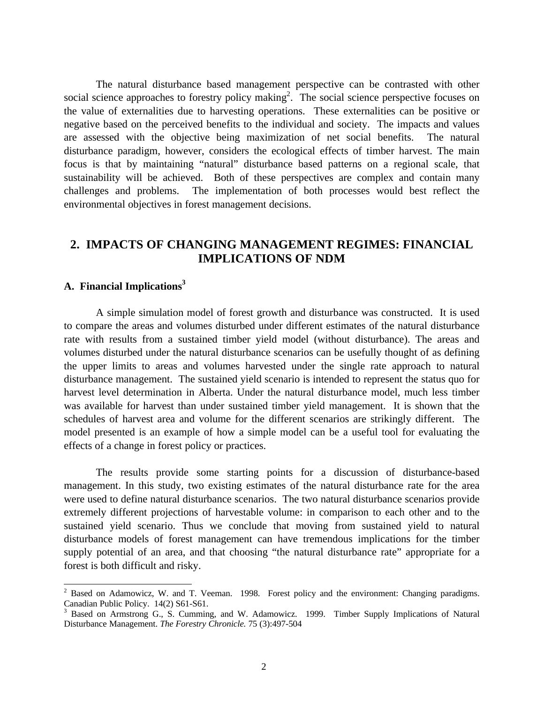The natural disturbance based management perspective can be contrasted with other social science approaches to forestry policy making<sup>2</sup>. The social science perspective focuses on the value of externalities due to harvesting operations. These externalities can be positive or negative based on the perceived benefits to the individual and society. The impacts and values are assessed with the objective being maximization of net social benefits. The natural disturbance paradigm, however, considers the ecological effects of timber harvest. The main focus is that by maintaining "natural" disturbance based patterns on a regional scale, that sustainability will be achieved. Both of these perspectives are complex and contain many challenges and problems. The implementation of both processes would best reflect the environmental objectives in forest management decisions.

# **2. IMPACTS OF CHANGING MANAGEMENT REGIMES: FINANCIAL IMPLICATIONS OF NDM**

## **A. Financial Implications<sup>3</sup>**

A simple simulation model of forest growth and disturbance was constructed. It is used to compare the areas and volumes disturbed under different estimates of the natural disturbance rate with results from a sustained timber yield model (without disturbance). The areas and volumes disturbed under the natural disturbance scenarios can be usefully thought of as defining the upper limits to areas and volumes harvested under the single rate approach to natural disturbance management. The sustained yield scenario is intended to represent the status quo for harvest level determination in Alberta. Under the natural disturbance model, much less timber was available for harvest than under sustained timber yield management. It is shown that the schedules of harvest area and volume for the different scenarios are strikingly different. The model presented is an example of how a simple model can be a useful tool for evaluating the effects of a change in forest policy or practices.

The results provide some starting points for a discussion of disturbance-based management. In this study, two existing estimates of the natural disturbance rate for the area were used to define natural disturbance scenarios. The two natural disturbance scenarios provide extremely different projections of harvestable volume: in comparison to each other and to the sustained yield scenario. Thus we conclude that moving from sustained yield to natural disturbance models of forest management can have tremendous implications for the timber supply potential of an area, and that choosing "the natural disturbance rate" appropriate for a forest is both difficult and risky.

<sup>&</sup>lt;sup>2</sup> Based on Adamowicz, W. and T. Veeman. 1998. Forest policy and the environment: Changing paradigms. Canadian Public Policy. 14(2) S61-S61.

<sup>&</sup>lt;sup>3</sup> Based on Armstrong G., S. Cumming, and W. Adamowicz. 1999. Timber Supply Implications of Natural Disturbance Management. *The Forestry Chronicle.* 75 (3):497-504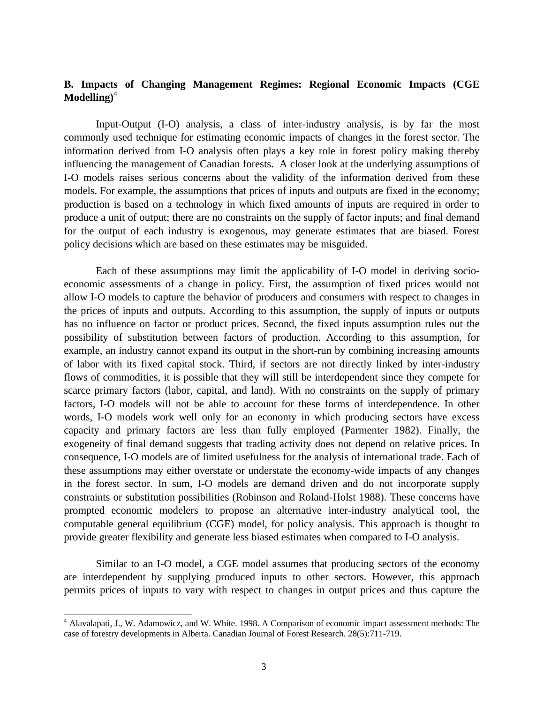## **B. Impacts of Changing Management Regimes: Regional Economic Impacts (CGE Modelling)**<sup>4</sup>

Input-Output (I-O) analysis, a class of inter-industry analysis, is by far the most commonly used technique for estimating economic impacts of changes in the forest sector. The information derived from I-O analysis often plays a key role in forest policy making thereby influencing the management of Canadian forests. A closer look at the underlying assumptions of I-O models raises serious concerns about the validity of the information derived from these models. For example, the assumptions that prices of inputs and outputs are fixed in the economy; production is based on a technology in which fixed amounts of inputs are required in order to produce a unit of output; there are no constraints on the supply of factor inputs; and final demand for the output of each industry is exogenous, may generate estimates that are biased. Forest policy decisions which are based on these estimates may be misguided.

Each of these assumptions may limit the applicability of I-O model in deriving socioeconomic assessments of a change in policy. First, the assumption of fixed prices would not allow I-O models to capture the behavior of producers and consumers with respect to changes in the prices of inputs and outputs. According to this assumption, the supply of inputs or outputs has no influence on factor or product prices. Second, the fixed inputs assumption rules out the possibility of substitution between factors of production. According to this assumption, for example, an industry cannot expand its output in the short-run by combining increasing amounts of labor with its fixed capital stock. Third, if sectors are not directly linked by inter-industry flows of commodities, it is possible that they will still be interdependent since they compete for scarce primary factors (labor, capital, and land). With no constraints on the supply of primary factors, I-O models will not be able to account for these forms of interdependence. In other words, I-O models work well only for an economy in which producing sectors have excess capacity and primary factors are less than fully employed (Parmenter 1982). Finally, the exogeneity of final demand suggests that trading activity does not depend on relative prices. In consequence, I-O models are of limited usefulness for the analysis of international trade. Each of these assumptions may either overstate or understate the economy-wide impacts of any changes in the forest sector. In sum, I-O models are demand driven and do not incorporate supply constraints or substitution possibilities (Robinson and Roland-Holst 1988). These concerns have prompted economic modelers to propose an alternative inter-industry analytical tool, the computable general equilibrium (CGE) model, for policy analysis. This approach is thought to provide greater flexibility and generate less biased estimates when compared to I-O analysis.

Similar to an I-O model, a CGE model assumes that producing sectors of the economy are interdependent by supplying produced inputs to other sectors. However, this approach permits prices of inputs to vary with respect to changes in output prices and thus capture the

 $\overline{a}$ 

<sup>&</sup>lt;sup>4</sup> Alavalapati, J., W. Adamowicz, and W. White. 1998. A Comparison of economic impact assessment methods: The case of forestry developments in Alberta. Canadian Journal of Forest Research. 28(5):711-719.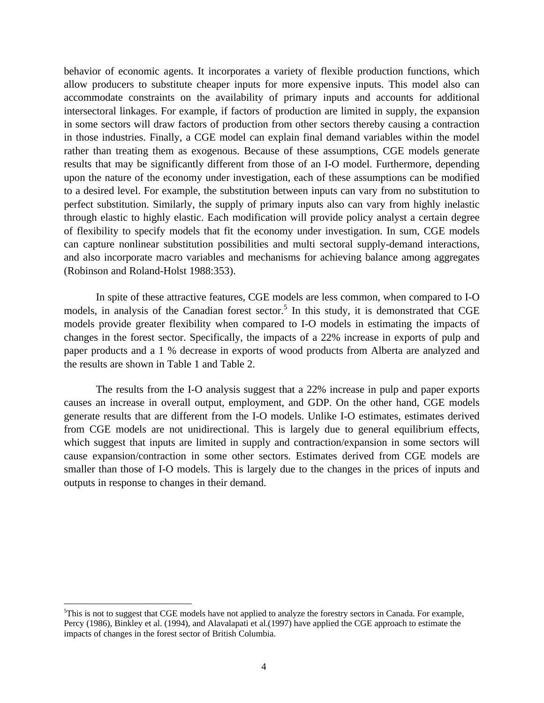behavior of economic agents. It incorporates a variety of flexible production functions, which allow producers to substitute cheaper inputs for more expensive inputs. This model also can accommodate constraints on the availability of primary inputs and accounts for additional intersectoral linkages. For example, if factors of production are limited in supply, the expansion in some sectors will draw factors of production from other sectors thereby causing a contraction in those industries. Finally, a CGE model can explain final demand variables within the model rather than treating them as exogenous. Because of these assumptions, CGE models generate results that may be significantly different from those of an I-O model. Furthermore, depending upon the nature of the economy under investigation, each of these assumptions can be modified to a desired level. For example, the substitution between inputs can vary from no substitution to perfect substitution. Similarly, the supply of primary inputs also can vary from highly inelastic through elastic to highly elastic. Each modification will provide policy analyst a certain degree of flexibility to specify models that fit the economy under investigation. In sum, CGE models can capture nonlinear substitution possibilities and multi sectoral supply-demand interactions, and also incorporate macro variables and mechanisms for achieving balance among aggregates (Robinson and Roland-Holst 1988:353).

In spite of these attractive features, CGE models are less common, when compared to I-O models, in analysis of the Canadian forest sector.<sup>5</sup> In this study, it is demonstrated that CGE models provide greater flexibility when compared to I-O models in estimating the impacts of changes in the forest sector. Specifically, the impacts of a 22% increase in exports of pulp and paper products and a 1 % decrease in exports of wood products from Alberta are analyzed and the results are shown in Table 1 and Table 2.

The results from the I-O analysis suggest that a 22% increase in pulp and paper exports causes an increase in overall output, employment, and GDP. On the other hand, CGE models generate results that are different from the I-O models. Unlike I-O estimates, estimates derived from CGE models are not unidirectional. This is largely due to general equilibrium effects, which suggest that inputs are limited in supply and contraction/expansion in some sectors will cause expansion/contraction in some other sectors. Estimates derived from CGE models are smaller than those of I-O models. This is largely due to the changes in the prices of inputs and outputs in response to changes in their demand.

 $\overline{a}$ 

<sup>5</sup>This is not to suggest that CGE models have not applied to analyze the forestry sectors in Canada. For example, Percy (1986), Binkley et al. (1994), and Alavalapati et al.(1997) have applied the CGE approach to estimate the impacts of changes in the forest sector of British Columbia.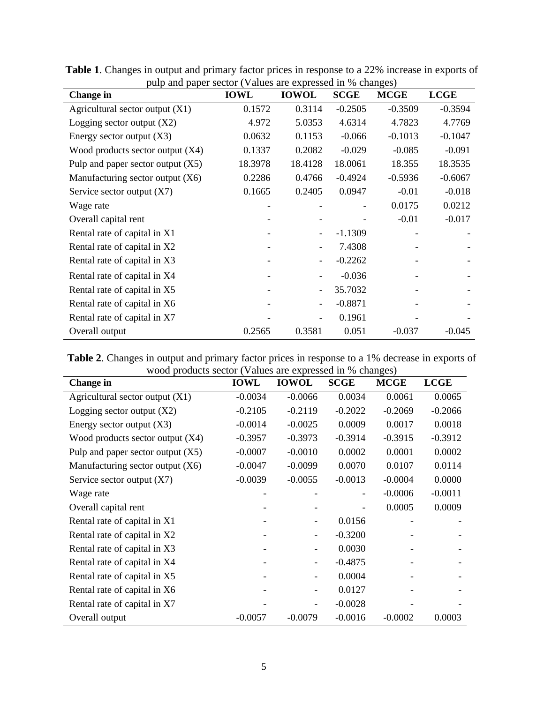| <b>Change in</b>                    | <b>IOWL</b> | <b>IOWOL</b>             | <b>SCGE</b> | <b>MCGE</b> | <b>LCGE</b> |
|-------------------------------------|-------------|--------------------------|-------------|-------------|-------------|
| Agricultural sector output $(X1)$   | 0.1572      | 0.3114                   | $-0.2505$   | $-0.3509$   | $-0.3594$   |
| Logging sector output $(X2)$        | 4.972       | 5.0353                   | 4.6314      | 4.7823      | 4.7769      |
| Energy sector output $(X3)$         | 0.0632      | 0.1153                   | $-0.066$    | $-0.1013$   | $-0.1047$   |
| Wood products sector output $(X4)$  | 0.1337      | 0.2082                   | $-0.029$    | $-0.085$    | $-0.091$    |
| Pulp and paper sector output $(X5)$ | 18.3978     | 18.4128                  | 18.0061     | 18.355      | 18.3535     |
| Manufacturing sector output $(X6)$  | 0.2286      | 0.4766                   | $-0.4924$   | $-0.5936$   | $-0.6067$   |
| Service sector output $(X7)$        | 0.1665      | 0.2405                   | 0.0947      | $-0.01$     | $-0.018$    |
| Wage rate                           |             |                          |             | 0.0175      | 0.0212      |
| Overall capital rent                |             |                          |             | $-0.01$     | $-0.017$    |
| Rental rate of capital in X1        |             |                          | $-1.1309$   |             |             |
| Rental rate of capital in X2        |             |                          | 7.4308      |             |             |
| Rental rate of capital in X3        |             |                          | $-0.2262$   |             |             |
| Rental rate of capital in X4        |             |                          | $-0.036$    |             |             |
| Rental rate of capital in X5        |             | $\overline{\phantom{a}}$ | 35.7032     |             |             |
| Rental rate of capital in X6        |             |                          | $-0.8871$   |             |             |
| Rental rate of capital in X7        |             |                          | 0.1961      |             |             |
| Overall output                      | 0.2565      | 0.3581                   | 0.051       | $-0.037$    | $-0.045$    |

**Table 1**. Changes in output and primary factor prices in response to a 22% increase in exports of pulp and paper sector (Values are expressed in % changes)

**Table 2**. Changes in output and primary factor prices in response to a 1% decrease in exports of wood products sector (Values are expressed in % changes)

| $m$ over products sector $\chi$ and $\chi$ and $\chi$ and $\chi$ and $\chi$ and $\chi$ and $\chi$ and $\chi$ and $\chi$ and $\chi$ and $\chi$ and $\chi$ and $\chi$ and $\chi$ and $\chi$ and $\chi$ and $\chi$ and $\chi$ and $\chi$ and $\chi$ and $\chi$ and $\chi$ an<br><b>Change</b> in | <b>IOWL</b> | <b>IOWOL</b> | <b>SCGE</b> | <b>MCGE</b> | <b>LCGE</b> |
|-----------------------------------------------------------------------------------------------------------------------------------------------------------------------------------------------------------------------------------------------------------------------------------------------|-------------|--------------|-------------|-------------|-------------|
| Agricultural sector output $(X1)$                                                                                                                                                                                                                                                             | $-0.0034$   | $-0.0066$    | 0.0034      | 0.0061      | 0.0065      |
| Logging sector output $(X2)$                                                                                                                                                                                                                                                                  | $-0.2105$   | $-0.2119$    | $-0.2022$   | $-0.2069$   | $-0.2066$   |
| Energy sector output $(X3)$                                                                                                                                                                                                                                                                   | $-0.0014$   | $-0.0025$    | 0.0009      | 0.0017      | 0.0018      |
| Wood products sector output $(X4)$                                                                                                                                                                                                                                                            | $-0.3957$   | $-0.3973$    | $-0.3914$   | $-0.3915$   | $-0.3912$   |
| Pulp and paper sector output $(X5)$                                                                                                                                                                                                                                                           | $-0.0007$   | $-0.0010$    | 0.0002      | 0.0001      | 0.0002      |
| Manufacturing sector output $(X6)$                                                                                                                                                                                                                                                            | $-0.0047$   | $-0.0099$    | 0.0070      | 0.0107      | 0.0114      |
| Service sector output $(X7)$                                                                                                                                                                                                                                                                  | $-0.0039$   | $-0.0055$    | $-0.0013$   | $-0.0004$   | 0.0000      |
| Wage rate                                                                                                                                                                                                                                                                                     |             |              | ۰           | $-0.0006$   | $-0.0011$   |
| Overall capital rent                                                                                                                                                                                                                                                                          |             |              |             | 0.0005      | 0.0009      |
| Rental rate of capital in X1                                                                                                                                                                                                                                                                  |             |              | 0.0156      |             |             |
| Rental rate of capital in X2                                                                                                                                                                                                                                                                  |             |              | $-0.3200$   |             |             |
| Rental rate of capital in X3                                                                                                                                                                                                                                                                  |             |              | 0.0030      |             |             |
| Rental rate of capital in X4                                                                                                                                                                                                                                                                  |             |              | $-0.4875$   |             |             |
| Rental rate of capital in X5                                                                                                                                                                                                                                                                  |             |              | 0.0004      |             |             |
| Rental rate of capital in X6                                                                                                                                                                                                                                                                  |             |              | 0.0127      |             |             |
| Rental rate of capital in X7                                                                                                                                                                                                                                                                  |             |              | $-0.0028$   |             |             |
| Overall output                                                                                                                                                                                                                                                                                | $-0.0057$   | $-0.0079$    | $-0.0016$   | $-0.0002$   | 0.0003      |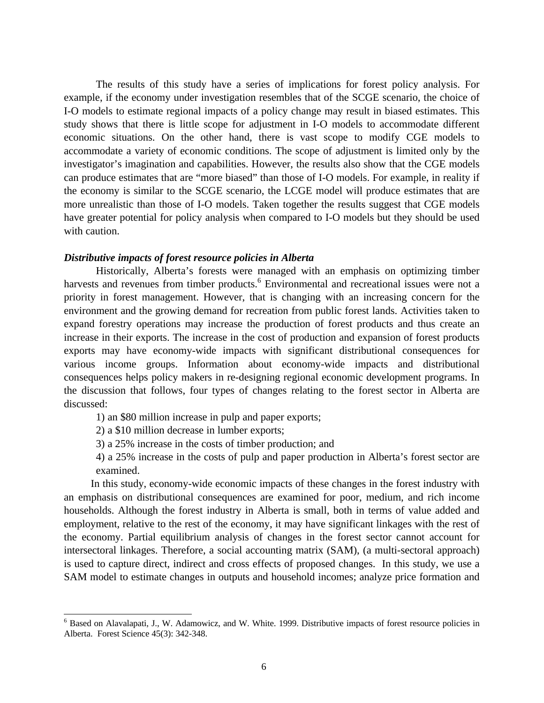The results of this study have a series of implications for forest policy analysis. For example, if the economy under investigation resembles that of the SCGE scenario, the choice of I-O models to estimate regional impacts of a policy change may result in biased estimates. This study shows that there is little scope for adjustment in I-O models to accommodate different economic situations. On the other hand, there is vast scope to modify CGE models to accommodate a variety of economic conditions. The scope of adjustment is limited only by the investigator's imagination and capabilities. However, the results also show that the CGE models can produce estimates that are "more biased" than those of I-O models. For example, in reality if the economy is similar to the SCGE scenario, the LCGE model will produce estimates that are more unrealistic than those of I-O models. Taken together the results suggest that CGE models have greater potential for policy analysis when compared to I-O models but they should be used with caution.

#### *Distributive impacts of forest resource policies in Alberta*

Historically, Alberta's forests were managed with an emphasis on optimizing timber harvests and revenues from timber products.<sup>6</sup> Environmental and recreational issues were not a priority in forest management. However, that is changing with an increasing concern for the environment and the growing demand for recreation from public forest lands. Activities taken to expand forestry operations may increase the production of forest products and thus create an increase in their exports. The increase in the cost of production and expansion of forest products exports may have economy-wide impacts with significant distributional consequences for various income groups. Information about economy-wide impacts and distributional consequences helps policy makers in re-designing regional economic development programs. In the discussion that follows, four types of changes relating to the forest sector in Alberta are discussed:

- 1) an \$80 million increase in pulp and paper exports;
- 2) a \$10 million decrease in lumber exports;
- 3) a 25% increase in the costs of timber production; and
- 4) a 25% increase in the costs of pulp and paper production in Alberta's forest sector are examined.

 In this study, economy-wide economic impacts of these changes in the forest industry with an emphasis on distributional consequences are examined for poor, medium, and rich income households. Although the forest industry in Alberta is small, both in terms of value added and employment, relative to the rest of the economy, it may have significant linkages with the rest of the economy. Partial equilibrium analysis of changes in the forest sector cannot account for intersectoral linkages. Therefore, a social accounting matrix (SAM), (a multi-sectoral approach) is used to capture direct, indirect and cross effects of proposed changes. In this study, we use a SAM model to estimate changes in outputs and household incomes; analyze price formation and

<sup>&</sup>lt;sup>6</sup> Based on Alavalapati, J., W. Adamowicz, and W. White. 1999. Distributive impacts of forest resource policies in Alberta. Forest Science 45(3): 342-348.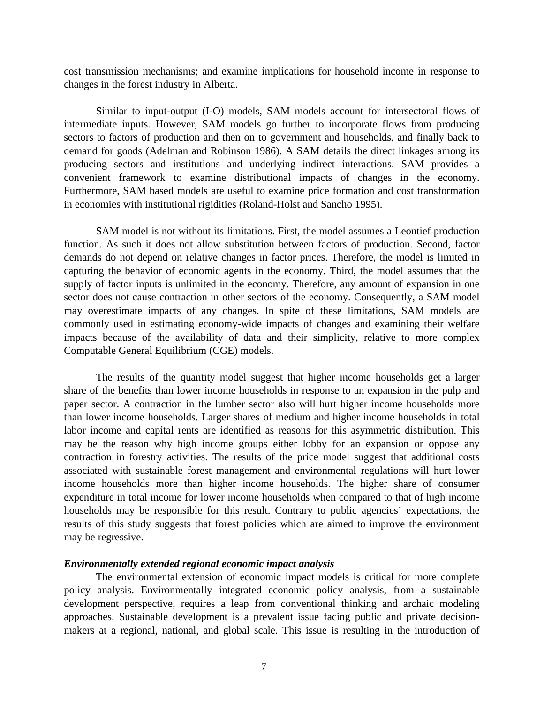cost transmission mechanisms; and examine implications for household income in response to changes in the forest industry in Alberta.

Similar to input-output (I-O) models, SAM models account for intersectoral flows of intermediate inputs. However, SAM models go further to incorporate flows from producing sectors to factors of production and then on to government and households, and finally back to demand for goods (Adelman and Robinson 1986). A SAM details the direct linkages among its producing sectors and institutions and underlying indirect interactions. SAM provides a convenient framework to examine distributional impacts of changes in the economy. Furthermore, SAM based models are useful to examine price formation and cost transformation in economies with institutional rigidities (Roland-Holst and Sancho 1995).

SAM model is not without its limitations. First, the model assumes a Leontief production function. As such it does not allow substitution between factors of production. Second, factor demands do not depend on relative changes in factor prices. Therefore, the model is limited in capturing the behavior of economic agents in the economy. Third, the model assumes that the supply of factor inputs is unlimited in the economy. Therefore, any amount of expansion in one sector does not cause contraction in other sectors of the economy. Consequently, a SAM model may overestimate impacts of any changes. In spite of these limitations, SAM models are commonly used in estimating economy-wide impacts of changes and examining their welfare impacts because of the availability of data and their simplicity, relative to more complex Computable General Equilibrium (CGE) models.

The results of the quantity model suggest that higher income households get a larger share of the benefits than lower income households in response to an expansion in the pulp and paper sector. A contraction in the lumber sector also will hurt higher income households more than lower income households. Larger shares of medium and higher income households in total labor income and capital rents are identified as reasons for this asymmetric distribution. This may be the reason why high income groups either lobby for an expansion or oppose any contraction in forestry activities. The results of the price model suggest that additional costs associated with sustainable forest management and environmental regulations will hurt lower income households more than higher income households. The higher share of consumer expenditure in total income for lower income households when compared to that of high income households may be responsible for this result. Contrary to public agencies' expectations, the results of this study suggests that forest policies which are aimed to improve the environment may be regressive.

#### *Environmentally extended regional economic impact analysis*

The environmental extension of economic impact models is critical for more complete policy analysis. Environmentally integrated economic policy analysis, from a sustainable development perspective, requires a leap from conventional thinking and archaic modeling approaches. Sustainable development is a prevalent issue facing public and private decisionmakers at a regional, national, and global scale. This issue is resulting in the introduction of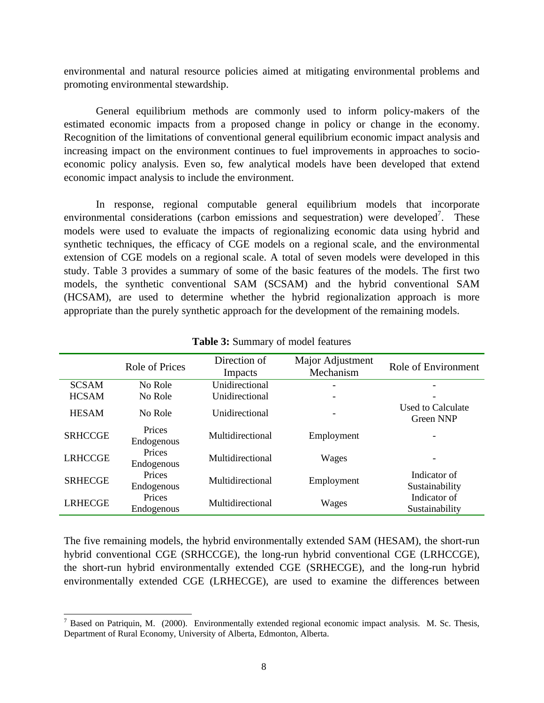environmental and natural resource policies aimed at mitigating environmental problems and promoting environmental stewardship.

General equilibrium methods are commonly used to inform policy-makers of the estimated economic impacts from a proposed change in policy or change in the economy. Recognition of the limitations of conventional general equilibrium economic impact analysis and increasing impact on the environment continues to fuel improvements in approaches to socioeconomic policy analysis. Even so, few analytical models have been developed that extend economic impact analysis to include the environment.

In response, regional computable general equilibrium models that incorporate environmental considerations (carbon emissions and sequestration) were developed<sup>7</sup>. These models were used to evaluate the impacts of regionalizing economic data using hybrid and synthetic techniques, the efficacy of CGE models on a regional scale, and the environmental extension of CGE models on a regional scale. A total of seven models were developed in this study. Table 3 provides a summary of some of the basic features of the models. The first two models, the synthetic conventional SAM (SCSAM) and the hybrid conventional SAM (HCSAM), are used to determine whether the hybrid regionalization approach is more appropriate than the purely synthetic approach for the development of the remaining models.

|                | Role of Prices       | Direction of<br>Impacts | Major Adjustment<br>Mechanism | Role of Environment                   |
|----------------|----------------------|-------------------------|-------------------------------|---------------------------------------|
| <b>SCSAM</b>   | No Role              | Unidirectional          | $\overline{\phantom{0}}$      |                                       |
| <b>HCSAM</b>   | No Role              | <b>Unidirectional</b>   |                               |                                       |
| <b>HESAM</b>   | No Role              | <b>Unidirectional</b>   |                               | Used to Calculate<br><b>Green NNP</b> |
| <b>SRHCCGE</b> | Prices<br>Endogenous | Multidirectional        | Employment                    |                                       |
| <b>LRHCCGE</b> | Prices<br>Endogenous | Multidirectional        | Wages                         |                                       |
| <b>SRHECGE</b> | Prices<br>Endogenous | Multidirectional        | Employment                    | Indicator of<br>Sustainability        |
| <b>LRHECGE</b> | Prices<br>Endogenous | Multidirectional        | Wages                         | Indicator of<br>Sustainability        |

#### **Table 3:** Summary of model features

The five remaining models, the hybrid environmentally extended SAM (HESAM), the short-run hybrid conventional CGE (SRHCCGE), the long-run hybrid conventional CGE (LRHCCGE), the short-run hybrid environmentally extended CGE (SRHECGE), and the long-run hybrid environmentally extended CGE (LRHECGE), are used to examine the differences between

<sup>&</sup>lt;sup>7</sup> Based on Patriquin, M. (2000). Environmentally extended regional economic impact analysis. M. Sc. Thesis, Department of Rural Economy, University of Alberta, Edmonton, Alberta.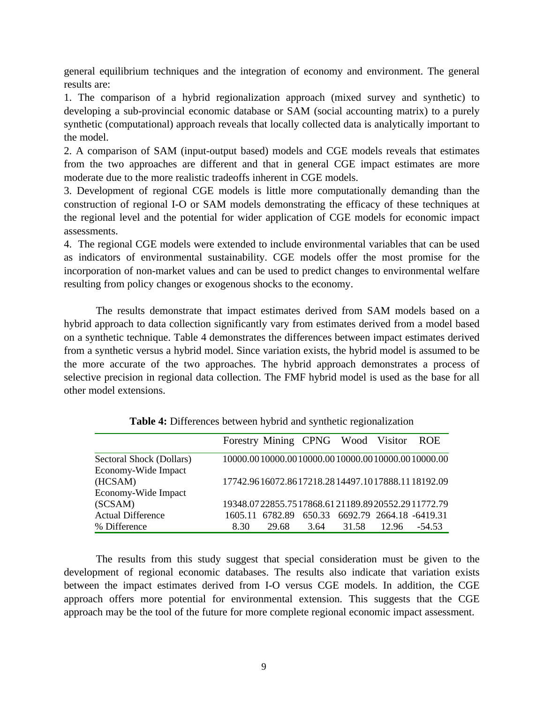general equilibrium techniques and the integration of economy and environment. The general results are:

1. The comparison of a hybrid regionalization approach (mixed survey and synthetic) to developing a sub-provincial economic database or SAM (social accounting matrix) to a purely synthetic (computational) approach reveals that locally collected data is analytically important to the model.

2. A comparison of SAM (input-output based) models and CGE models reveals that estimates from the two approaches are different and that in general CGE impact estimates are more moderate due to the more realistic tradeoffs inherent in CGE models.

3. Development of regional CGE models is little more computationally demanding than the construction of regional I-O or SAM models demonstrating the efficacy of these techniques at the regional level and the potential for wider application of CGE models for economic impact assessments.

4. The regional CGE models were extended to include environmental variables that can be used as indicators of environmental sustainability. CGE models offer the most promise for the incorporation of non-market values and can be used to predict changes to environmental welfare resulting from policy changes or exogenous shocks to the economy.

The results demonstrate that impact estimates derived from SAM models based on a hybrid approach to data collection significantly vary from estimates derived from a model based on a synthetic technique. Table 4 demonstrates the differences between impact estimates derived from a synthetic versus a hybrid model. Since variation exists, the hybrid model is assumed to be the more accurate of the two approaches. The hybrid approach demonstrates a process of selective precision in regional data collection. The FMF hybrid model is used as the base for all other model extensions.

|                          |      | Forestry Mining CPNG Wood Visitor ROE            |      |       |                                 |        |
|--------------------------|------|--------------------------------------------------|------|-------|---------------------------------|--------|
| Sectoral Shock (Dollars) |      | 10000.0010000.0010000.0010000.0010000.0010000.00 |      |       |                                 |        |
| Economy-Wide Impact      |      |                                                  |      |       |                                 |        |
| (HCSAM)                  |      | 17742.9616072.8617218.2814497.1017888.1118192.09 |      |       |                                 |        |
| Economy-Wide Impact      |      |                                                  |      |       |                                 |        |
| (SCSAM)                  |      | 19348.0722855.7517868.6121189.8920552.2911772.79 |      |       |                                 |        |
| <b>Actual Difference</b> |      | 1605 11 6782.89                                  |      |       | 650.33 6692.79 2664.18 -6419.31 |        |
| % Difference             | 8.30 | 29.68                                            | 3.64 | 31.58 | 12.96                           | -54.53 |

**Table 4:** Differences between hybrid and synthetic regionalization

The results from this study suggest that special consideration must be given to the development of regional economic databases. The results also indicate that variation exists between the impact estimates derived from I-O versus CGE models. In addition, the CGE approach offers more potential for environmental extension. This suggests that the CGE approach may be the tool of the future for more complete regional economic impact assessment.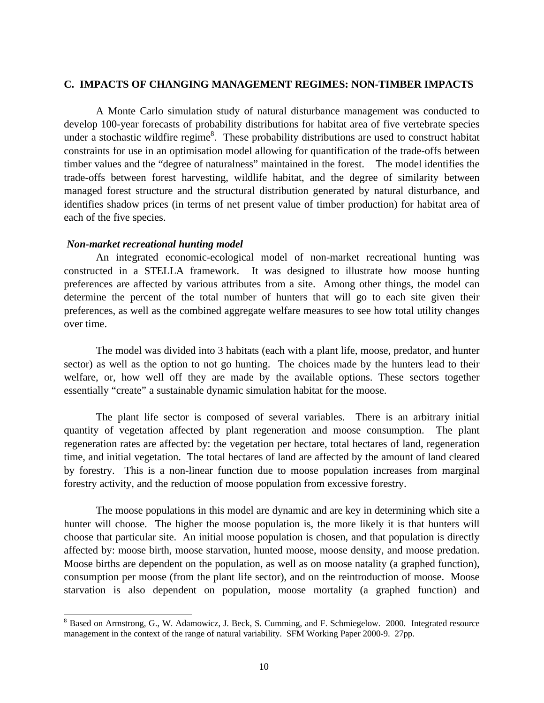#### **C. IMPACTS OF CHANGING MANAGEMENT REGIMES: NON-TIMBER IMPACTS**

A Monte Carlo simulation study of natural disturbance management was conducted to develop 100-year forecasts of probability distributions for habitat area of five vertebrate species under a stochastic wildfire regime<sup>8</sup>. These probability distributions are used to construct habitat constraints for use in an optimisation model allowing for quantification of the trade-offs between timber values and the "degree of naturalness" maintained in the forest. The model identifies the trade-offs between forest harvesting, wildlife habitat, and the degree of similarity between managed forest structure and the structural distribution generated by natural disturbance, and identifies shadow prices (in terms of net present value of timber production) for habitat area of each of the five species.

#### *Non-market recreational hunting model*

 $\overline{a}$ 

An integrated economic-ecological model of non-market recreational hunting was constructed in a STELLA framework. It was designed to illustrate how moose hunting preferences are affected by various attributes from a site. Among other things, the model can determine the percent of the total number of hunters that will go to each site given their preferences, as well as the combined aggregate welfare measures to see how total utility changes over time.

The model was divided into 3 habitats (each with a plant life, moose, predator, and hunter sector) as well as the option to not go hunting. The choices made by the hunters lead to their welfare, or, how well off they are made by the available options. These sectors together essentially "create" a sustainable dynamic simulation habitat for the moose.

The plant life sector is composed of several variables. There is an arbitrary initial quantity of vegetation affected by plant regeneration and moose consumption. The plant regeneration rates are affected by: the vegetation per hectare, total hectares of land, regeneration time, and initial vegetation. The total hectares of land are affected by the amount of land cleared by forestry. This is a non-linear function due to moose population increases from marginal forestry activity, and the reduction of moose population from excessive forestry.

The moose populations in this model are dynamic and are key in determining which site a hunter will choose. The higher the moose population is, the more likely it is that hunters will choose that particular site. An initial moose population is chosen, and that population is directly affected by: moose birth, moose starvation, hunted moose, moose density, and moose predation. Moose births are dependent on the population, as well as on moose natality (a graphed function), consumption per moose (from the plant life sector), and on the reintroduction of moose. Moose starvation is also dependent on population, moose mortality (a graphed function) and

<sup>&</sup>lt;sup>8</sup> Based on Armstrong, G., W. Adamowicz, J. Beck, S. Cumming, and F. Schmiegelow. 2000. Integrated resource management in the context of the range of natural variability. SFM Working Paper 2000-9. 27pp.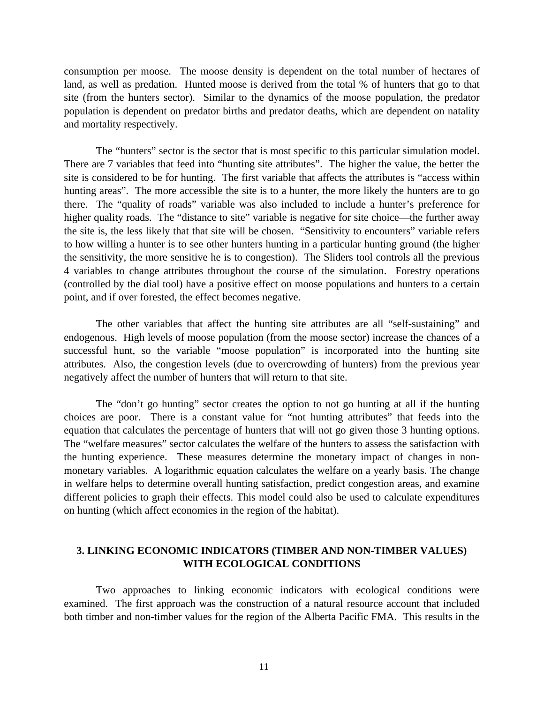consumption per moose. The moose density is dependent on the total number of hectares of land, as well as predation. Hunted moose is derived from the total % of hunters that go to that site (from the hunters sector). Similar to the dynamics of the moose population, the predator population is dependent on predator births and predator deaths, which are dependent on natality and mortality respectively.

The "hunters" sector is the sector that is most specific to this particular simulation model. There are 7 variables that feed into "hunting site attributes". The higher the value, the better the site is considered to be for hunting. The first variable that affects the attributes is "access within hunting areas". The more accessible the site is to a hunter, the more likely the hunters are to go there. The "quality of roads" variable was also included to include a hunter's preference for higher quality roads. The "distance to site" variable is negative for site choice—the further away the site is, the less likely that that site will be chosen. "Sensitivity to encounters" variable refers to how willing a hunter is to see other hunters hunting in a particular hunting ground (the higher the sensitivity, the more sensitive he is to congestion). The Sliders tool controls all the previous 4 variables to change attributes throughout the course of the simulation. Forestry operations (controlled by the dial tool) have a positive effect on moose populations and hunters to a certain point, and if over forested, the effect becomes negative.

The other variables that affect the hunting site attributes are all "self-sustaining" and endogenous. High levels of moose population (from the moose sector) increase the chances of a successful hunt, so the variable "moose population" is incorporated into the hunting site attributes. Also, the congestion levels (due to overcrowding of hunters) from the previous year negatively affect the number of hunters that will return to that site.

The "don't go hunting" sector creates the option to not go hunting at all if the hunting choices are poor. There is a constant value for "not hunting attributes" that feeds into the equation that calculates the percentage of hunters that will not go given those 3 hunting options. The "welfare measures" sector calculates the welfare of the hunters to assess the satisfaction with the hunting experience. These measures determine the monetary impact of changes in nonmonetary variables. A logarithmic equation calculates the welfare on a yearly basis. The change in welfare helps to determine overall hunting satisfaction, predict congestion areas, and examine different policies to graph their effects. This model could also be used to calculate expenditures on hunting (which affect economies in the region of the habitat).

# **3. LINKING ECONOMIC INDICATORS (TIMBER AND NON-TIMBER VALUES) WITH ECOLOGICAL CONDITIONS**

Two approaches to linking economic indicators with ecological conditions were examined. The first approach was the construction of a natural resource account that included both timber and non-timber values for the region of the Alberta Pacific FMA. This results in the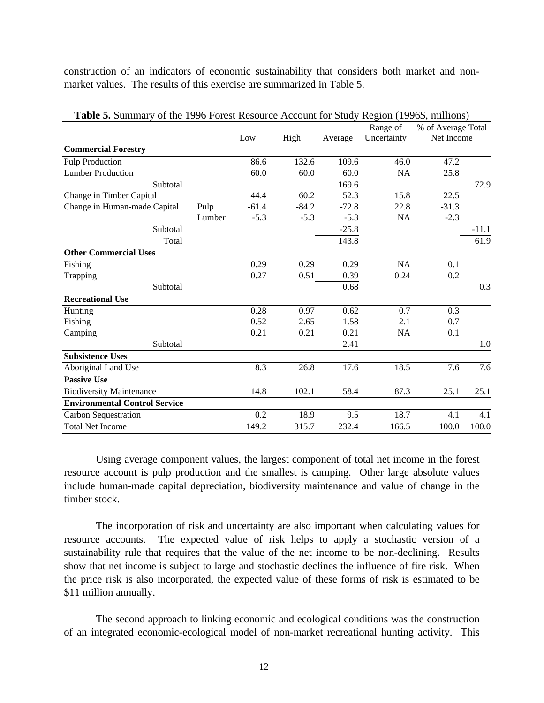construction of an indicators of economic sustainability that considers both market and nonmarket values. The results of this exercise are summarized in Table 5.

| 86.6             | 132.6   | 109.6   | 46.0      | 47.2                    |                                  |
|------------------|---------|---------|-----------|-------------------------|----------------------------------|
| 60.0             | 60.0    | 60.0    | <b>NA</b> | 25.8                    |                                  |
|                  |         | 169.6   |           |                         | 72.9                             |
| 44.4             | 60.2    | 52.3    | 15.8      | 22.5                    |                                  |
| $-61.4$<br>Pulp  | $-84.2$ | $-72.8$ | 22.8      | $-31.3$                 |                                  |
| Lumber<br>$-5.3$ | $-5.3$  | $-5.3$  | NA        | $-2.3$                  |                                  |
|                  |         | $-25.8$ |           |                         | $-11.1$                          |
|                  |         | 143.8   |           |                         | 61.9                             |
|                  |         |         |           |                         |                                  |
| 0.29             | 0.29    | 0.29    | <b>NA</b> | 0.1                     |                                  |
| 0.27             | 0.51    | 0.39    | 0.24      | 0.2                     |                                  |
|                  |         | 0.68    |           |                         | 0.3                              |
|                  |         |         |           |                         |                                  |
| 0.28             | 0.97    | 0.62    | 0.7       | 0.3                     |                                  |
| 0.52             | 2.65    | 1.58    | 2.1       | 0.7                     |                                  |
| 0.21             | 0.21    | 0.21    | NA        | 0.1                     |                                  |
|                  |         | 2.41    |           |                         | 1.0                              |
|                  |         |         |           |                         |                                  |
| 8.3              | 26.8    | 17.6    | 18.5      | 7.6                     | 7.6                              |
|                  |         |         |           |                         |                                  |
| 14.8             | 102.1   | 58.4    | 87.3      | 25.1                    | 25.1                             |
|                  |         |         |           |                         |                                  |
| 0.2              | 18.9    | 9.5     | 18.7      | 4.1                     | 4.1                              |
| 149.2            | 315.7   | 232.4   | 166.5     | 100.0                   | 100.0                            |
|                  | Low     | High    | Average   | Range of<br>Uncertainty | % of Average Total<br>Net Income |

**Table 5.** Summary of the 1996 Forest Resource Account for Study Region (1996\$, millions)

Using average component values, the largest component of total net income in the forest resource account is pulp production and the smallest is camping. Other large absolute values include human-made capital depreciation, biodiversity maintenance and value of change in the timber stock.

The incorporation of risk and uncertainty are also important when calculating values for resource accounts. The expected value of risk helps to apply a stochastic version of a sustainability rule that requires that the value of the net income to be non-declining. Results show that net income is subject to large and stochastic declines the influence of fire risk. When the price risk is also incorporated, the expected value of these forms of risk is estimated to be \$11 million annually.

The second approach to linking economic and ecological conditions was the construction of an integrated economic-ecological model of non-market recreational hunting activity. This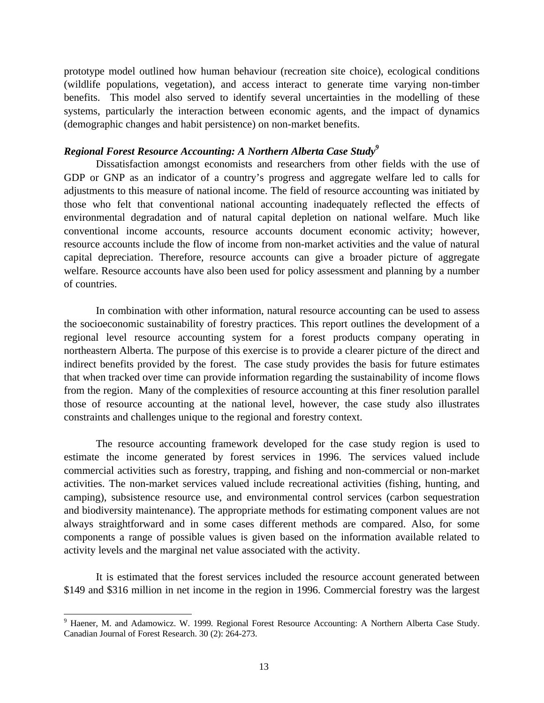prototype model outlined how human behaviour (recreation site choice), ecological conditions (wildlife populations, vegetation), and access interact to generate time varying non-timber benefits. This model also served to identify several uncertainties in the modelling of these systems, particularly the interaction between economic agents, and the impact of dynamics (demographic changes and habit persistence) on non-market benefits.

#### *Regional Forest Resource Accounting: A Northern Alberta Case Study<sup>9</sup>*

Dissatisfaction amongst economists and researchers from other fields with the use of GDP or GNP as an indicator of a country's progress and aggregate welfare led to calls for adjustments to this measure of national income. The field of resource accounting was initiated by those who felt that conventional national accounting inadequately reflected the effects of environmental degradation and of natural capital depletion on national welfare. Much like conventional income accounts, resource accounts document economic activity; however, resource accounts include the flow of income from non-market activities and the value of natural capital depreciation. Therefore, resource accounts can give a broader picture of aggregate welfare. Resource accounts have also been used for policy assessment and planning by a number of countries.

In combination with other information, natural resource accounting can be used to assess the socioeconomic sustainability of forestry practices. This report outlines the development of a regional level resource accounting system for a forest products company operating in northeastern Alberta. The purpose of this exercise is to provide a clearer picture of the direct and indirect benefits provided by the forest. The case study provides the basis for future estimates that when tracked over time can provide information regarding the sustainability of income flows from the region. Many of the complexities of resource accounting at this finer resolution parallel those of resource accounting at the national level, however, the case study also illustrates constraints and challenges unique to the regional and forestry context.

The resource accounting framework developed for the case study region is used to estimate the income generated by forest services in 1996. The services valued include commercial activities such as forestry, trapping, and fishing and non-commercial or non-market activities. The non-market services valued include recreational activities (fishing, hunting, and camping), subsistence resource use, and environmental control services (carbon sequestration and biodiversity maintenance). The appropriate methods for estimating component values are not always straightforward and in some cases different methods are compared. Also, for some components a range of possible values is given based on the information available related to activity levels and the marginal net value associated with the activity.

It is estimated that the forest services included the resource account generated between \$149 and \$316 million in net income in the region in 1996. Commercial forestry was the largest

 $\overline{a}$ 

<sup>9</sup> Haener, M. and Adamowicz. W. 1999*.* Regional Forest Resource Accounting: A Northern Alberta Case Study. Canadian Journal of Forest Research. 30 (2): 264-273.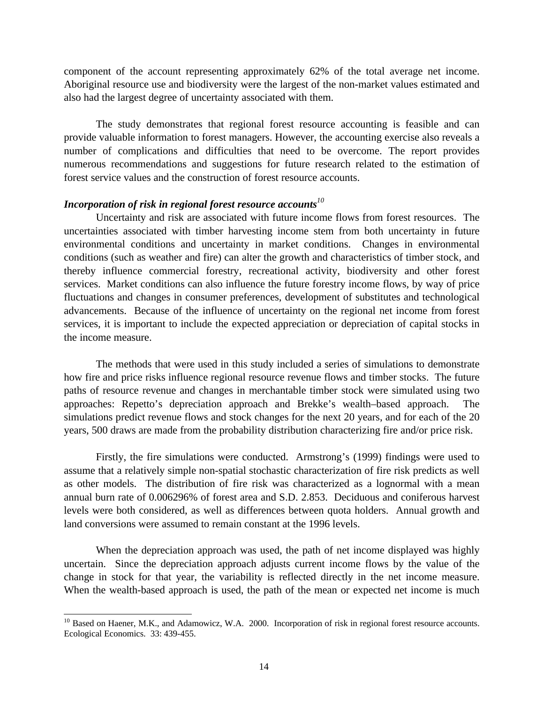component of the account representing approximately 62% of the total average net income. Aboriginal resource use and biodiversity were the largest of the non-market values estimated and also had the largest degree of uncertainty associated with them.

The study demonstrates that regional forest resource accounting is feasible and can provide valuable information to forest managers. However, the accounting exercise also reveals a number of complications and difficulties that need to be overcome. The report provides numerous recommendations and suggestions for future research related to the estimation of forest service values and the construction of forest resource accounts.

# *Incorporation of risk in regional forest resource accounts<sup>10</sup>*

Uncertainty and risk are associated with future income flows from forest resources. The uncertainties associated with timber harvesting income stem from both uncertainty in future environmental conditions and uncertainty in market conditions. Changes in environmental conditions (such as weather and fire) can alter the growth and characteristics of timber stock, and thereby influence commercial forestry, recreational activity, biodiversity and other forest services. Market conditions can also influence the future forestry income flows, by way of price fluctuations and changes in consumer preferences, development of substitutes and technological advancements. Because of the influence of uncertainty on the regional net income from forest services, it is important to include the expected appreciation or depreciation of capital stocks in the income measure.

The methods that were used in this study included a series of simulations to demonstrate how fire and price risks influence regional resource revenue flows and timber stocks. The future paths of resource revenue and changes in merchantable timber stock were simulated using two approaches: Repetto's depreciation approach and Brekke's wealth–based approach. The simulations predict revenue flows and stock changes for the next 20 years, and for each of the 20 years, 500 draws are made from the probability distribution characterizing fire and/or price risk.

Firstly, the fire simulations were conducted. Armstrong's (1999) findings were used to assume that a relatively simple non-spatial stochastic characterization of fire risk predicts as well as other models. The distribution of fire risk was characterized as a lognormal with a mean annual burn rate of 0.006296% of forest area and S.D. 2.853. Deciduous and coniferous harvest levels were both considered, as well as differences between quota holders. Annual growth and land conversions were assumed to remain constant at the 1996 levels.

When the depreciation approach was used, the path of net income displayed was highly uncertain. Since the depreciation approach adjusts current income flows by the value of the change in stock for that year, the variability is reflected directly in the net income measure. When the wealth-based approach is used, the path of the mean or expected net income is much

-

<sup>&</sup>lt;sup>10</sup> Based on Haener, M.K., and Adamowicz, W.A. 2000. Incorporation of risk in regional forest resource accounts. Ecological Economics. 33: 439-455.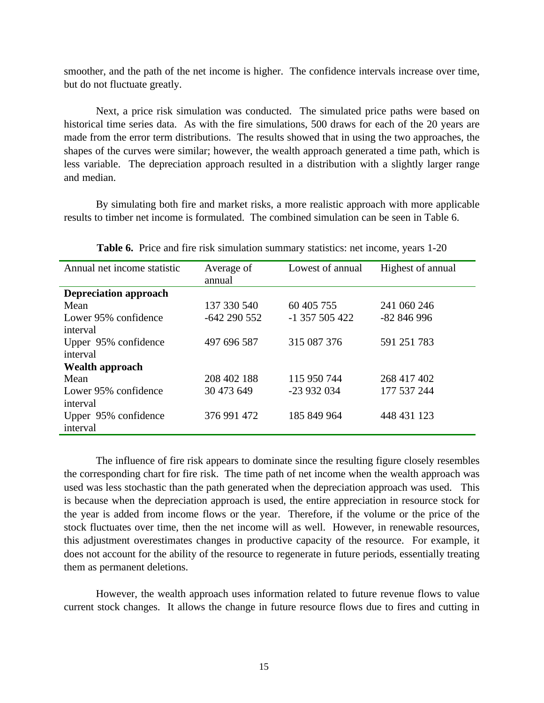smoother, and the path of the net income is higher. The confidence intervals increase over time, but do not fluctuate greatly.

Next, a price risk simulation was conducted. The simulated price paths were based on historical time series data. As with the fire simulations, 500 draws for each of the 20 years are made from the error term distributions. The results showed that in using the two approaches, the shapes of the curves were similar; however, the wealth approach generated a time path, which is less variable. The depreciation approach resulted in a distribution with a slightly larger range and median.

By simulating both fire and market risks, a more realistic approach with more applicable results to timber net income is formulated. The combined simulation can be seen in Table 6.

| Annual net income statistic  | Average of<br>annual | Lowest of annual | Highest of annual |
|------------------------------|----------------------|------------------|-------------------|
| <b>Depreciation approach</b> |                      |                  |                   |
| Mean                         | 137 330 540          | 60 405 755       | 241 060 246       |
| Lower 95% confidence         | $-642290552$         | $-1$ 357 505 422 | $-82846996$       |
| interval                     |                      |                  |                   |
| Upper 95% confidence         | 497 696 587          | 315 087 376      | 591 251 783       |
| interval                     |                      |                  |                   |
| <b>Wealth approach</b>       |                      |                  |                   |
| Mean                         | 208 402 188          | 115 950 744      | 268 417 402       |
| Lower 95% confidence         | 30 473 649           | -23 932 034      | 177 537 244       |
| interval                     |                      |                  |                   |
| Upper 95% confidence         | 376 991 472          | 185 849 964      | 448 431 123       |
| interval                     |                      |                  |                   |

**Table 6.** Price and fire risk simulation summary statistics: net income, years 1-20

The influence of fire risk appears to dominate since the resulting figure closely resembles the corresponding chart for fire risk. The time path of net income when the wealth approach was used was less stochastic than the path generated when the depreciation approach was used. This is because when the depreciation approach is used, the entire appreciation in resource stock for the year is added from income flows or the year. Therefore, if the volume or the price of the stock fluctuates over time, then the net income will as well. However, in renewable resources, this adjustment overestimates changes in productive capacity of the resource. For example, it does not account for the ability of the resource to regenerate in future periods, essentially treating them as permanent deletions.

However, the wealth approach uses information related to future revenue flows to value current stock changes. It allows the change in future resource flows due to fires and cutting in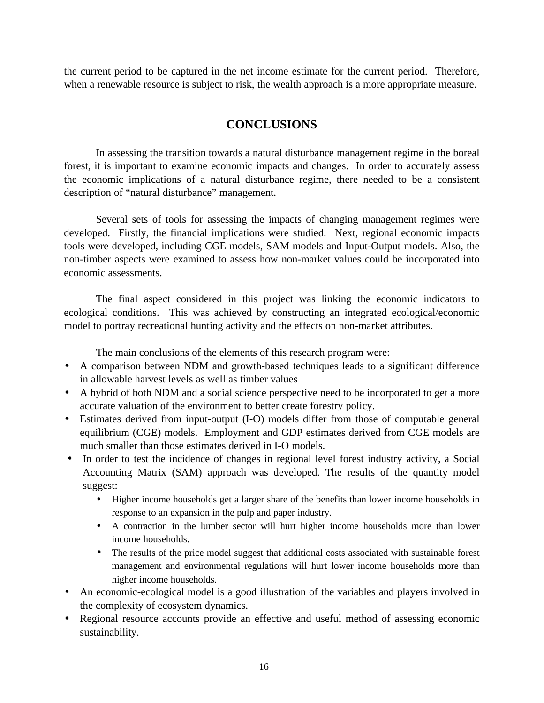the current period to be captured in the net income estimate for the current period. Therefore, when a renewable resource is subject to risk, the wealth approach is a more appropriate measure.

# **CONCLUSIONS**

In assessing the transition towards a natural disturbance management regime in the boreal forest, it is important to examine economic impacts and changes. In order to accurately assess the economic implications of a natural disturbance regime, there needed to be a consistent description of "natural disturbance" management.

Several sets of tools for assessing the impacts of changing management regimes were developed. Firstly, the financial implications were studied. Next, regional economic impacts tools were developed, including CGE models, SAM models and Input-Output models. Also, the non-timber aspects were examined to assess how non-market values could be incorporated into economic assessments.

The final aspect considered in this project was linking the economic indicators to ecological conditions. This was achieved by constructing an integrated ecological/economic model to portray recreational hunting activity and the effects on non-market attributes.

The main conclusions of the elements of this research program were:

- A comparison between NDM and growth-based techniques leads to a significant difference in allowable harvest levels as well as timber values
- A hybrid of both NDM and a social science perspective need to be incorporated to get a more accurate valuation of the environment to better create forestry policy.
- Estimates derived from input-output (I-O) models differ from those of computable general equilibrium (CGE) models. Employment and GDP estimates derived from CGE models are much smaller than those estimates derived in I-O models.
- In order to test the incidence of changes in regional level forest industry activity, a Social Accounting Matrix (SAM) approach was developed. The results of the quantity model suggest:
	- Higher income households get a larger share of the benefits than lower income households in response to an expansion in the pulp and paper industry.
	- A contraction in the lumber sector will hurt higher income households more than lower income households.
	- The results of the price model suggest that additional costs associated with sustainable forest management and environmental regulations will hurt lower income households more than higher income households.
- An economic-ecological model is a good illustration of the variables and players involved in the complexity of ecosystem dynamics.
- Regional resource accounts provide an effective and useful method of assessing economic sustainability.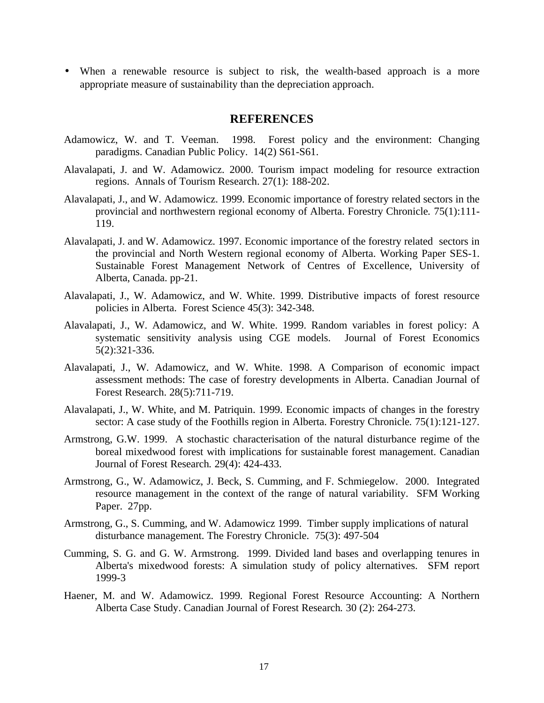• When a renewable resource is subject to risk, the wealth-based approach is a more appropriate measure of sustainability than the depreciation approach.

## **REFERENCES**

- Adamowicz, W. and T. Veeman. 1998. Forest policy and the environment: Changing paradigms. Canadian Public Policy. 14(2) S61-S61.
- Alavalapati, J. and W. Adamowicz. 2000. Tourism impact modeling for resource extraction regions. Annals of Tourism Research. 27(1): 188-202.
- Alavalapati, J., and W. Adamowicz. 1999. Economic importance of forestry related sectors in the provincial and northwestern regional economy of Alberta. Forestry Chronicle*.* 75(1):111- 119.
- Alavalapati, J. and W. Adamowicz. 1997. Economic importance of the forestry related sectors in the provincial and North Western regional economy of Alberta. Working Paper SES-1. Sustainable Forest Management Network of Centres of Excellence, University of Alberta, Canada. pp-21.
- Alavalapati, J., W. Adamowicz, and W. White. 1999. Distributive impacts of forest resource policies in Alberta. Forest Science 45(3): 342-348.
- Alavalapati, J., W. Adamowicz, and W. White. 1999. Random variables in forest policy: A systematic sensitivity analysis using CGE models. Journal of Forest Economics 5(2):321-336.
- Alavalapati, J., W. Adamowicz, and W. White. 1998. A Comparison of economic impact assessment methods: The case of forestry developments in Alberta. Canadian Journal of Forest Research. 28(5):711-719.
- Alavalapati, J., W. White, and M. Patriquin. 1999. Economic impacts of changes in the forestry sector: A case study of the Foothills region in Alberta. Forestry Chronicle*.* 75(1):121-127.
- Armstrong, G.W. 1999. A stochastic characterisation of the natural disturbance regime of the boreal mixedwood forest with implications for sustainable forest management. Canadian Journal of Forest Research*.* 29(4): 424-433.
- Armstrong, G., W. Adamowicz, J. Beck, S. Cumming, and F. Schmiegelow. 2000. Integrated resource management in the context of the range of natural variability. SFM Working Paper. 27pp.
- Armstrong, G., S. Cumming, and W. Adamowicz 1999. Timber supply implications of natural disturbance management. The Forestry Chronicle. 75(3): 497-504
- Cumming, S. G. and G. W. Armstrong. 1999. Divided land bases and overlapping tenures in Alberta's mixedwood forests: A simulation study of policy alternatives. SFM report 1999-3
- Haener, M. and W. Adamowicz. 1999*.* Regional Forest Resource Accounting: A Northern Alberta Case Study. Canadian Journal of Forest Research*.* 30 (2): 264-273.